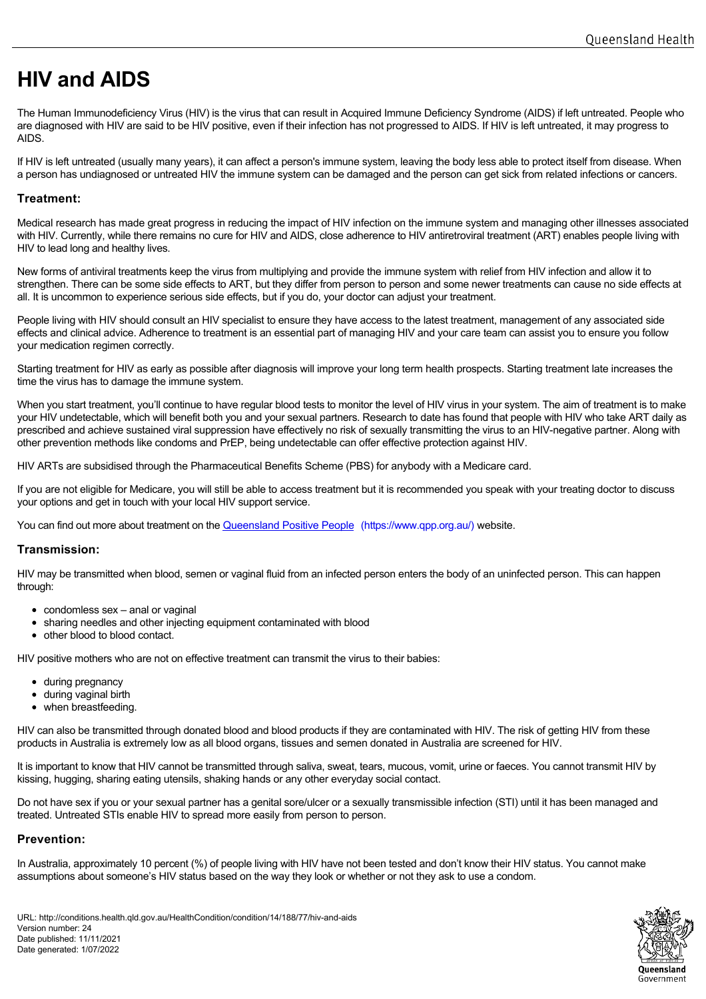# **HIV and AIDS**

The Human Immunodeficiency Virus (HIV) is the virus that can result in Acquired Immune Deficiency Syndrome (AIDS) if left untreated. People who are diagnosed with HIV are said to be HIV positive, even if their infection has not progressed to AIDS. If HIV is left untreated, it may progress to AIDS.

If HIV is left untreated (usually many years), it can affect a person's immune system, leaving the body less able to protect itself from disease. When a person has undiagnosed or untreated HIV the immune system can be damaged and the person can get sick from related infections or cancers.

# **Treatment:**

Medical research has made great progress in reducing the impact of HIV infection on the immune system and managing other illnesses associated with HIV. Currently, while there remains no cure for HIV and AIDS, close adherence to HIV antiretroviral treatment (ART) enables people living with HIV to lead long and healthy lives.

New forms of antiviral treatments keep the virus from multiplying and provide the immune system with relief from HIV infection and allow it to strengthen. There can be some side effects to ART, but they differ from person to person and some newer treatments can cause no side effects at all. It is uncommon to experience serious side effects, but if you do, your doctor can adjust your treatment.

People living with HIV should consult an HIV specialist to ensure they have access to the latest treatment, management of any associated side effects and clinical advice. Adherence to treatment is an essential part of managing HIV and your care team can assist you to ensure you follow your medication regimen correctly.

Starting treatment for HIV as early as possible after diagnosis will improve your long term health prospects. Starting treatment late increases the time the virus has to damage the immune system.

When you start treatment, you'll continue to have regular blood tests to monitor the level of HIV virus in your system. The aim of treatment is to make your HIV undetectable, which will benefit both you and your sexual partners. Research to date has found that people with HIV who take ART daily as prescribed and achieve sustained viral suppression have effectively no risk of sexually transmitting the virus to an HIV-negative partner. Along with other prevention methods like condoms and PrEP, being undetectable can offer effective protection against HIV.

HIV ARTs are subsidised through the Pharmaceutical Benefits Scheme (PBS) for anybody with a Medicare card.

If you are not eligible for Medicare, you will still be able to access treatment but it is recommended you speak with your treating doctor to discuss your options and get in touch with your local HIV support service.

You can find out more about treatment on the [Queensland Positive People](https://www.qpp.org.au/) (https://www.qpp.org.au/) website.

# **Transmission:**

HIV may be transmitted when blood, semen or vaginal fluid from an infected person enters the body of an uninfected person. This can happen through:

- condomless sex anal or vaginal
- sharing needles and other injecting equipment contaminated with blood
- other blood to blood contact.

HIV positive mothers who are not on effective treatment can transmit the virus to their babies:

- during pregnancy
- during vaginal birth
- when breastfeeding.

HIV can also be transmitted through donated blood and blood products if they are contaminated with HIV. The risk of getting HIV from these products in Australia is extremely low as all blood organs, tissues and semen donated in Australia are screened for HIV.

It is important to know that HIV cannot be transmitted through saliva, sweat, tears, mucous, vomit, urine or faeces. You cannot transmit HIV by kissing, hugging, sharing eating utensils, shaking hands or any other everyday social contact.

Do not have sex if you or your sexual partner has a genital sore/ulcer or a sexually transmissible infection (STI) until it has been managed and treated. Untreated STIs enable HIV to spread more easily from person to person.

# **Prevention:**

In Australia, approximately 10 percent (%) of people living with HIV have not been tested and don't know their HIV status. You cannot make assumptions about someone's HIV status based on the way they look or whether or not they ask to use a condom.

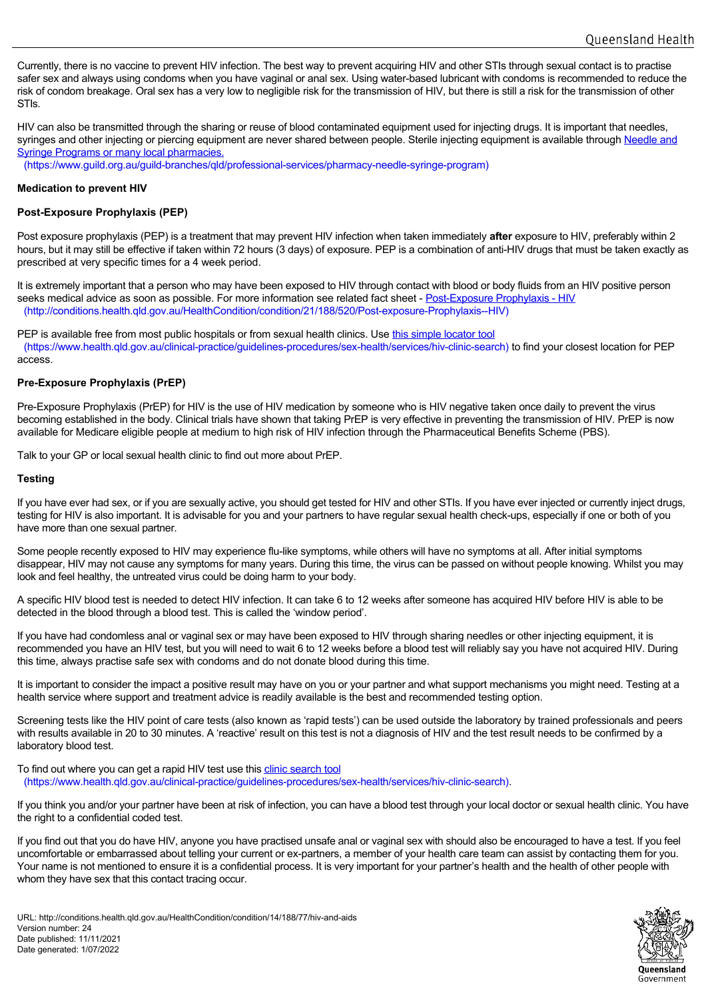Currently, there is no vaccine to prevent HIV infection. The best way to prevent acquiring HIV and other STIs through sexual contact is to practise safer sex and always using condoms when you have vaginal or anal sex. Using water-based lubricant with condoms is recommended to reduce the risk of condom breakage. Oral sex has a very low to negligible risk for the transmission of HIV, but there is still a risk for the transmission of other STIs.

HIV can also be transmitted through the sharing or reuse of blood contaminated equipment used for injecting drugs. It is important that needles, [syringes and other injecting or piercing equipment are never shared between people. Sterile injecting eq](https://www.guild.org.au/guild-branches/qld/professional-services/pharmacy-needle-syringe-program)uipment is available through Needle and Syringe Programs or many local pharmacies.

(https://www.guild.org.au/guild-branches/qld/professional-services/pharmacy-needle-syringe-program)

## **Medication to prevent HIV**

## **Post-Exposure Prophylaxis (PEP)**

Post exposure prophylaxis (PEP) is a treatment that may prevent HIV infection when taken immediately **after** exposure to HIV, preferably within 2 hours, but it may still be effective if taken within 72 hours (3 days) of exposure. PEP is a combination of anti-HIV drugs that must be taken exactly as prescribed at very specific times for a 4 week period.

It is extremely important that a person who may have been exposed to HIV through contact with blood or body fluids from an HIV positive person seeks medical advice as soon as possible. For more information see related fact sheet - [Post-Exposure Pro](http://conditions.health.qld.gov.au/HealthCondition/condition/21/188/520/Post-exposure-Prophylaxis--HIV)phylaxis - HIV (http://conditions.health.qld.gov.au/HealthCondition/condition/21/188/520/Post-exposure-Prophylaxis--HIV)

PEP is available free from most public hospitals or from sexual health clinics. Use this simple locator tool (https://www.health.qld.gov.au/clinical-practice/guidelines-procedures/sex-health/[services/hiv-clinic-search\)](https://www.health.qld.gov.au/clinical-practice/guidelines-procedures/sex-health/services/hiv-clinic-search) to find your closest location for PEP access.

### **Pre-Exposure Prophylaxis (PrEP)**

Pre-Exposure Prophylaxis (PrEP) for HIV is the use of HIV medication by someone who is HIV negative taken once daily to prevent the virus becoming established in the body. Clinical trials have shown that taking PrEP is very effective in preventing the transmission of HIV. PrEP is now available for Medicare eligible people at medium to high risk of HIV infection through the Pharmaceutical Benefits Scheme (PBS).

Talk to your GP or local sexual health clinic to find out more about PrEP.

#### **Testing**

If you have ever had sex, or if you are sexually active, you should get tested for HIV and other STIs. If you have ever injected or currently inject drugs, testing for HIV is also important. It is advisable for you and your partners to have regular sexual health check-ups, especially if one or both of you have more than one sexual partner.

Some people recently exposed to HIV may experience flu-like symptoms, while others will have no symptoms at all. After initial symptoms disappear, HIV may not cause any symptoms for many years. During this time, the virus can be passed on without people knowing. Whilst you may look and feel healthy, the untreated virus could be doing harm to your body.

A specific HIV blood test is needed to detect HIV infection. It can take 6 to 12 weeks after someone has acquired HIV before HIV is able to be detected in the blood through a blood test. This is called the 'window period'.

If you have had condomless anal or vaginal sex or may have been exposed to HIV through sharing needles or other injecting equipment, it is recommended you have an HIV test, but you will need to wait 6 to 12 weeks before a blood test will reliably say you have not acquired HIV. During this time, always practise safe sex with condoms and do not donate blood during this time.

It is important to consider the impact a positive result may have on you or your partner and what support mechanisms you might need. Testing at a health service where support and treatment advice is readily available is the best and recommended testing option.

Screening tests like the HIV point of care tests (also known as 'rapid tests') can be used outside the laboratory by trained professionals and peers with results available in 20 to 30 minutes. A 'reactive' result on this test is not a diagnosis of HIV and the test result needs to be confirmed by a laboratory blood test.

To find out where you can get a rapid HIV test use this clinic search tool (https://www.health.qld.gov.au/clinical-practice/guidel[ines-procedures/sex-health/services/hiv-clinic-search\).](https://www.health.qld.gov.au/clinical-practice/guidelines-procedures/sex-health/services/hiv-clinic-search)

If you think you and/or your partner have been at risk of infection, you can have a blood test through your local doctor or sexual health clinic. You have the right to a confidential coded test.

If you find out that you do have HIV, anyone you have practised unsafe anal or vaginal sex with should also be encouraged to have a test. If you feel uncomfortable or embarrassed about telling your current or ex-partners, a member of your health care team can assist by contacting them for you. Your name is not mentioned to ensure it is a confidential process. It is very important for your partner's health and the health of other people with whom they have sex that this contact tracing occur.